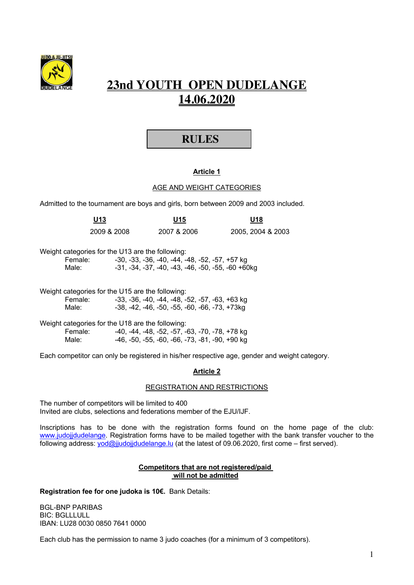

# **23nd YOUTH OPEN DUDELANGE 14.06.2020**

# **RULES**

# **Article 1**

## AGE AND WEIGHT CATEGORIES

Admitted to the tournament are boys and girls, born between 2009 and 2003 included.

| U13<br>$\sim$ |             | U15<br>- -  | U18               |  |
|---------------|-------------|-------------|-------------------|--|
|               | 2009 & 2008 | 2007 & 2006 | 2005, 2004 & 2003 |  |

|         | Weight categories for the U13 are the following:    |
|---------|-----------------------------------------------------|
| Female: | -30, -33, -36, -40, -44, -48, -52, -57, +57 kg      |
| Male:   | $-31, -34, -37, -40, -43, -46, -50, -55, -60$ +60kg |

|         | Weight categories for the U15 are the following: |
|---------|--------------------------------------------------|
| Female: | -33, -36, -40, -44, -48, -52, -57, -63, +63 kg   |
| Male:   | -38, -42, -46, -50, -55, -60, -66, -73, +73kg    |

|         | Weight categories for the U18 are the following: |
|---------|--------------------------------------------------|
| Female: | -40, -44, -48, -52, -57, -63, -70, -78, +78 kg   |
| Male:   | -46, -50, -55, -60, -66, -73, -81, -90, +90 kg   |

Each competitor can only be registered in his/her respective age, gender and weight category.

# **Article 2**

REGISTRATION AND RESTRICTIONS

The number of competitors will be limited to 400 Invited are clubs, selections and federations member of the EJU/IJF.

Inscriptions has to be done with the registration forms found on the home page of the club: www.judojjdudelange. Registration forms have to be mailed together with the bank transfer voucher to the following address: yod@jjudojjdudelange.lu (at the latest of 09.06.2020, first come – first served).

#### **Competitors that are not registered/paid will not be admitted**

**Registration fee for one judoka is 10€.** Bank Details:

BGL-BNP PARIBAS BIC: BGLLLULL IBAN: LU28 0030 0850 7641 0000

Each club has the permission to name 3 judo coaches (for a minimum of 3 competitors).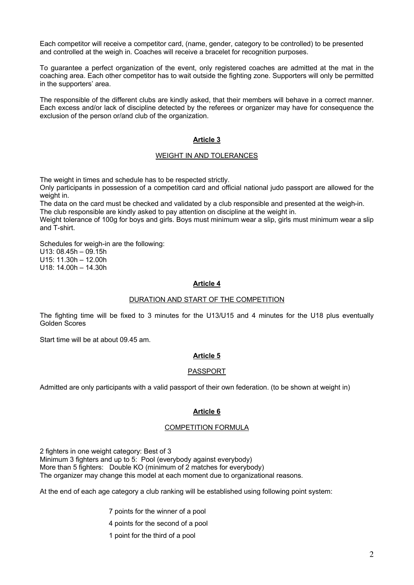Each competitor will receive a competitor card, (name, gender, category to be controlled) to be presented and controlled at the weigh in. Coaches will receive a bracelet for recognition purposes.

To guarantee a perfect organization of the event, only registered coaches are admitted at the mat in the coaching area. Each other competitor has to wait outside the fighting zone. Supporters will only be permitted in the supporters' area.

The responsible of the different clubs are kindly asked, that their members will behave in a correct manner. Each excess and/or lack of discipline detected by the referees or organizer may have for consequence the exclusion of the person or/and club of the organization.

# **Article 3**

#### WEIGHT IN AND TOLERANCES

The weight in times and schedule has to be respected strictly.

Only participants in possession of a competition card and official national judo passport are allowed for the weight in.

The data on the card must be checked and validated by a club responsible and presented at the weigh-in. The club responsible are kindly asked to pay attention on discipline at the weight in.

Weight tolerance of 100g for boys and girls. Boys must minimum wear a slip, girls must minimum wear a slip and T-shirt.

Schedules for weigh-in are the following: U13: 08.45h – 09.15h U15: 11.30h – 12.00h U18: 14.00h – 14.30h

#### **Article 4**

#### DURATION AND START OF THE COMPETITION

The fighting time will be fixed to 3 minutes for the U13/U15 and 4 minutes for the U18 plus eventually Golden Scores

Start time will be at about 09.45 am.

## **Article 5**

#### PASSPORT

Admitted are only participants with a valid passport of their own federation. (to be shown at weight in)

#### **Article 6**

#### COMPETITION FORMULA

2 fighters in one weight category: Best of 3 Minimum 3 fighters and up to 5: Pool (everybody against everybody) More than 5 fighters: Double KO (minimum of 2 matches for everybody) The organizer may change this model at each moment due to organizational reasons.

At the end of each age category a club ranking will be established using following point system:

7 points for the winner of a pool

- 4 points for the second of a pool
- 1 point for the third of a pool